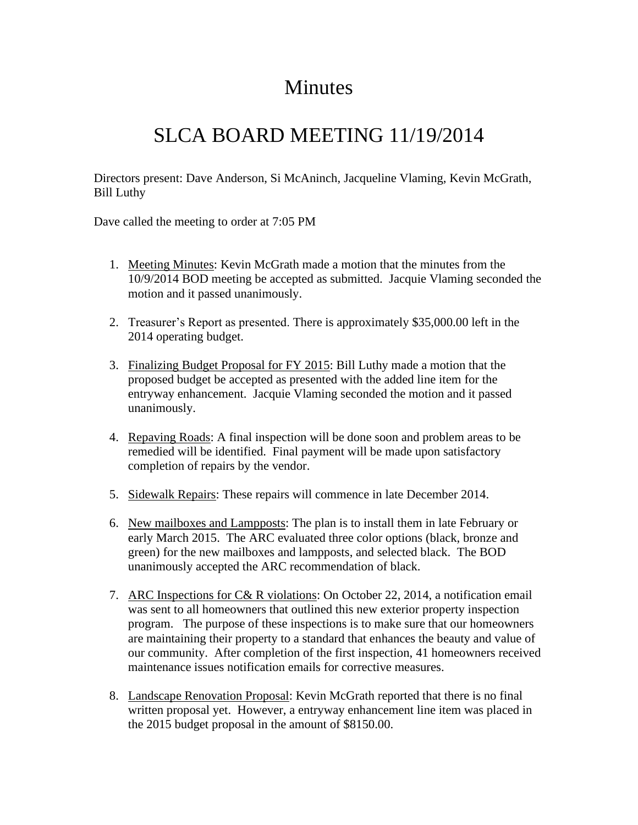## **Minutes**

## SLCA BOARD MEETING 11/19/2014

Directors present: Dave Anderson, Si McAninch, Jacqueline Vlaming, Kevin McGrath, Bill Luthy

Dave called the meeting to order at 7:05 PM

- 1. Meeting Minutes: Kevin McGrath made a motion that the minutes from the 10/9/2014 BOD meeting be accepted as submitted. Jacquie Vlaming seconded the motion and it passed unanimously.
- 2. Treasurer's Report as presented. There is approximately \$35,000.00 left in the 2014 operating budget.
- 3. Finalizing Budget Proposal for FY 2015: Bill Luthy made a motion that the proposed budget be accepted as presented with the added line item for the entryway enhancement. Jacquie Vlaming seconded the motion and it passed unanimously.
- 4. Repaving Roads: A final inspection will be done soon and problem areas to be remedied will be identified. Final payment will be made upon satisfactory completion of repairs by the vendor.
- 5. Sidewalk Repairs: These repairs will commence in late December 2014.
- 6. New mailboxes and Lampposts: The plan is to install them in late February or early March 2015. The ARC evaluated three color options (black, bronze and green) for the new mailboxes and lampposts, and selected black. The BOD unanimously accepted the ARC recommendation of black.
- 7. ARC Inspections for C& R violations: On October 22, 2014, a notification email was sent to all homeowners that outlined this new exterior property inspection program. The purpose of these inspections is to make sure that our homeowners are maintaining their property to a standard that enhances the beauty and value of our community. After completion of the first inspection, 41 homeowners received maintenance issues notification emails for corrective measures.
- 8. Landscape Renovation Proposal: Kevin McGrath reported that there is no final written proposal yet. However, a entryway enhancement line item was placed in the 2015 budget proposal in the amount of \$8150.00.